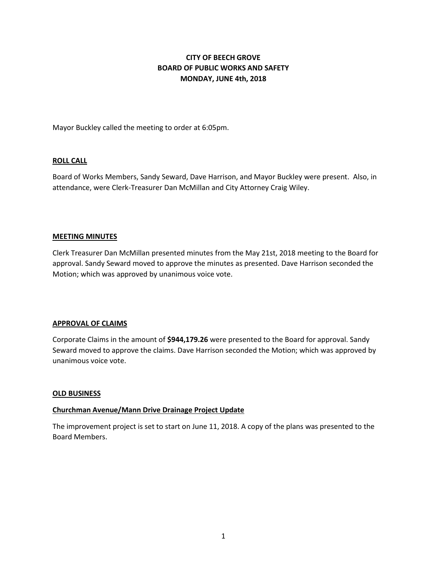# **CITY OF BEECH GROVE BOARD OF PUBLIC WORKS AND SAFETY MONDAY, JUNE 4th, 2018**

Mayor Buckley called the meeting to order at 6:05pm.

## **ROLL CALL**

Board of Works Members, Sandy Seward, Dave Harrison, and Mayor Buckley were present. Also, in attendance, were Clerk-Treasurer Dan McMillan and City Attorney Craig Wiley.

#### **MEETING MINUTES**

Clerk Treasurer Dan McMillan presented minutes from the May 21st, 2018 meeting to the Board for approval. Sandy Seward moved to approve the minutes as presented. Dave Harrison seconded the Motion; which was approved by unanimous voice vote.

#### **APPROVAL OF CLAIMS**

Corporate Claims in the amount of **\$944,179.26** were presented to the Board for approval. Sandy Seward moved to approve the claims. Dave Harrison seconded the Motion; which was approved by unanimous voice vote.

#### **OLD BUSINESS**

#### **Churchman Avenue/Mann Drive Drainage Project Update**

The improvement project is set to start on June 11, 2018. A copy of the plans was presented to the Board Members.